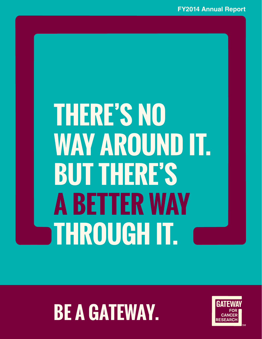# **THERE'S NO WAY AROUND IT. BUT THERE'S A BETTER WAY THROUGH IT.**

# **BE A GATEWAY.**

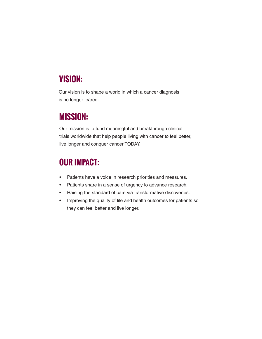## **VISION:**

Our vision is to shape a world in which a cancer diagnosis is no longer feared.

## **MISSION:**

Our mission is to fund meaningful and breakthrough clinical trials worldwide that help people living with cancer to feel better, live longer and conquer cancer TODAY.

## **OUR IMPACT:**

- Patients have a voice in research priorities and measures.
- Patients share in a sense of urgency to advance research.
- Raising the standard of care via transformative discoveries.
- Improving the quality of life and health outcomes for patients so they can feel better and live longer.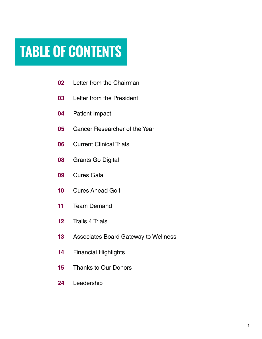## **TABLE OF CONTENTS**

- Letter from the Chairman
- Letter from the President
- Patient Impact
- Cancer Researcher of the Year
- Current Clinical Trials
- Grants Go Digital
- Cures Gala
- Cures Ahead Golf
- Team Demand
- Trails 4 Trials
- Associates Board Gateway to Wellness
- Financial Highlights
- Thanks to Our Donors
- Leadership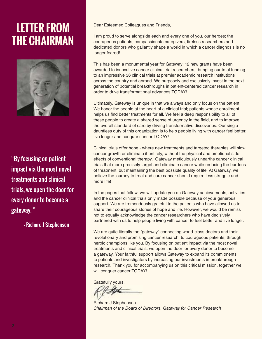## **LETTER FROM THE CHAIRMAN**



"By focusing on patient impact via the most novel treatments and clinical trials, we open the door for every donor to become a gateway. "

- Richard J Stephenson

Dear Esteemed Colleagues and Friends,

I am proud to serve alongside each and every one of you, our heroes; the courageous patients, compassionate caregivers, tireless researchers and dedicated donors who gallantly shape a world in which a cancer diagnosis is no longer feared!

This has been a monumental year for Gateway; 12 new grants have been awarded to innovative cancer clinical trial researchers, bringing our total funding to an impressive 36 clinical trials at premier academic research institutions across the country and abroad. We purposely and exclusively invest in the next generation of potential breakthroughs in patient-centered cancer research in order to drive transformational advances TODAY!

Ultimately, Gateway is unique in that we always and only focus on the patient. We honor the people at the heart of a clinical trial; patients whose enrollment helps us find better treatments for all. We feel a deep responsibility to all of these people to create a shared sense of urgency in the field, and to improve the overall standard of care by driving transformative discoveries. Our single dauntless duty of this organization is to help people living with cancer feel better, live longer and conquer cancer TODAY!

Clinical trials offer hope - where new treatments and targeted therapies will slow cancer growth or eliminate it entirely, without the physical and emotional side effects of conventional therapy. Gateway meticulously unearths cancer clinical trials that more precisely target and eliminate cancer while reducing the burdens of treatment, but maintaining the best possible quality of life. At Gateway, we believe the journey to treat and cure cancer should require less struggle and more life!

In the pages that follow, we will update you on Gateway achievements, activities and the cancer clinical trials only made possible because of your generous support. We are tremendously grateful to the patients who have allowed us to share their courageous stories of hope and life. However, we would be remiss not to equally acknowledge the cancer researchers who have decisively partnered with us to help people living with cancer to feel better and live longer.

We are quite literally the "gateway" connecting world-class doctors and their revolutionary and promising cancer research, to courageous patients, through heroic champions like you. By focusing on patient impact via the most novel treatments and clinical trials, we open the door for every donor to become a gateway. Your faithful support allows Gateway to expand its commitments to patients and investigators by increasing our investments in breakthrough research. Thank you for accompanying us on this critical mission, together we will conquer cancer TODAY!

Gratefully yours,

Richard J Stephenson *Chairman of the Board of Directors, Gateway for Cancer Research*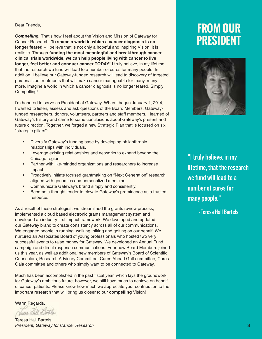#### Dear Friends,

*Compelling.* That's how I feel about the Vision and Mission of Gateway for Cancer Research. **To shape a world in which a cancer diagnosis is no longer feared** – I believe that is not only a hopeful and inspiring Vision, it is realistic. Through **funding the most meaningful and breakthrough cancer clinical trials worldwide, we can help people living with cancer to live longer, feel better and conquer cancer TODAY!** I truly believe, in my lifetime, that the research we fund will lead to a number of cures for many people. In addition, I believe our Gateway-funded research will lead to discovery of targeted, personalized treatments that will make cancer manageable for many, many more. Imagine a world in which a cancer diagnosis is no longer feared. Simply Compelling!

I'm honored to serve as President of Gateway. When I began January 1, 2014, I wanted to listen, assess and ask questions of the Board Members, Gatewayfunded researchers, donors, volunteers, partners and staff members. I learned of Gateway's history and came to some conclusions about Gateway's present and future direction. Together, we forged a new Strategic Plan that is focused on six "strategic pillars":

- Diversify Gateway's funding base by developing philanthropic relationships with individuals.
- Leverage existing relationships and networks to expand beyond the Chicago region.
- Partner with like-minded organizations and researchers to increase impact.
- Proactively initiate focused grantmaking on "Next Generation" research aligned with genomics and personalized medicine.
- Communicate Gateway's brand simply and consistently.
- Become a thought leader to elevate Gateway's prominence as a trusted resource.

As a result of these strategies, we streamlined the grants review process, implemented a cloud based electronic grants management system and developed an industry first impact framework. We developed and updated our Gateway brand to create consistency across all of our communications. We engaged people in running, walking, biking and golfing on our behalf. We nurtured an Associates Board of young professionals who hosted two very successful events to raise money for Gateway. We developed an Annual Fund campaign and direct response communications. Four new Board Members joined us this year, as well as additional new members of Gateway's Board of Scientific Counselors, Research Advisory Committee, Cures Ahead Golf committee, Cures Gala committee and others who simply want to be connected to Gateway.

Much has been accomplished in the past fiscal year, which lays the groundwork for Gateway's ambitious future; however, we still have much to achieve on behalf of cancer patients. Please know how much we appreciate your contribution to the important research that will bring us closer to our **compelling** Vision!

Warm Regards,

Vuene Chill Dartels

Teresa Hall Bartels *President, Gateway for Cancer Research*

## **FROM OUR PRESIDENT**



"I truly believe, in my lifetime, that the research we fund will lead to a number of cures for many people."

- Teresa Hall Bartels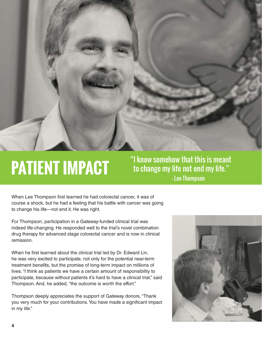

 - Lee Thompson "I know somehow that this is meant to change my life not end my life."

When Lee Thompson first learned he had colorectal cancer, it was of course a shock, but he had a feeling that his battle with cancer was going to change his life—not end it. He was right.

For Thompson, participation in a Gateway-funded clinical trial was indeed life-changing. He responded well to the trial's novel combination drug therapy for advanced stage colorectal cancer and is now in clinical remission.

When he first learned about the clinical trial led by Dr. Edward Lin, he was very excited to participate, not only for the potential near-term treatment benefits, but the promise of long-term impact on millions of lives. "I think as patients we have a certain amount of responsibility to participate, because without patients it's hard to have a clinical trial," said Thompson. And, he added, "the outcome is worth the effort."

Thompson deeply appreciates the support of Gateway donors. "Thank you very much for your contributions. You have made a significant impact in my life."

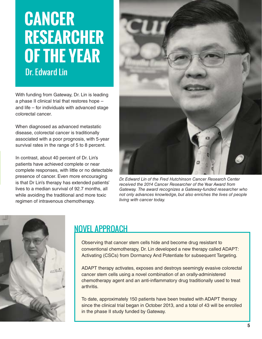## **CANCER RESEARCHER OF THE YEAR** Dr. Edward Lin

With funding from Gateway, Dr. Lin is leading a phase II clinical trial that restores hope – and life – for individuals with advanced stage colorectal cancer.

When diagnosed as advanced metastatic disease, colorectal cancer is traditionally associated with a poor prognosis, with 5-year survival rates in the range of 5 to 8 percent.

In contrast, about 40 percent of Dr. Lin's patients have achieved complete or near complete responses, with little or no detectable presence of cancer. Even more encouraging is that Dr Lin's therapy has extended patients' lives to a median survival of 92.7 months, all while avoiding the traditional and more toxic regimen of intravenous chemotherapy.



*Dr. Edward Lin of the Fred Hutchinson Cancer Research Center received the 2014 Cancer Researcher of the Year Award from Gateway. The award recognizes a Gateway-funded researcher who not only advances knowledge, but also enriches the lives of people living with cancer today.* 



## NOVEL APPROACH

Observing that cancer stem cells hide and become drug resistant to conventional chemotherapy, Dr. Lin developed a new therapy called ADAPT: Activating (CSCs) from Dormancy And Potentiate for subsequent Targeting.

ADAPT therapy activates, exposes and destroys seemingly evasive colorectal cancer stem cells using a novel combination of an orally-administered chemotherapy agent and an anti-inflammatory drug traditionally used to treat arthritis.

To date, approximately 150 patients have been treated with ADAPT therapy since the clinical trial began in October 2013, and a total of 43 will be enrolled in the phase II study funded by Gateway.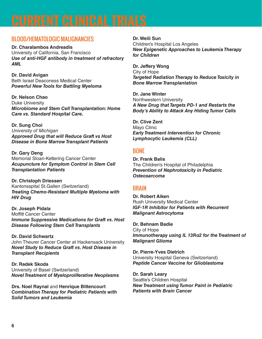## BLOOD/HEMATOLOGIC MALIGNANCIES

**Dr. Charalambos Andreadis** University of California, San Francisco *Use of anti-HGF antibody in treatment of refractory AML* 

**Dr. David Avigan**  Beth Israel Deaconess Medical Center *Powerful New Tools for Battling Myeloma* 

**Dr. Nelson Chao** Duke University *Microbiome and Stem Cell Transplantation: Home Care vs. Standard Hospital Care.* 

**Dr. Sung Choi** *University of Michigan Approved Drug that will Reduce Graft vs Host Disease in Bone Marrow Transplant Patients* 

**Dr. Gary Deng** Memorial Sloan-Kettering Cancer Center *Acupuncture for Symptom Control in Stem Cell Transplantation Patients*

**Dr. Christoph Driessen** Kantonsspital St.Gallen (Switzerland) *Treating Chemo-Resistant Multiple Myeloma with HIV Drug*

**Dr. Joseph Pidala** Moffitt Cancer Center *Immune Suppressive Medications for Graft vs. Host Disease Following Stem Cell Transplants*

**Dr. David Schwartz** John Theurer Cancer Center at Hackensack University *Novel Study to Reduce Graft vs. Host Disease in Transplant Recipients*

**Dr. Radek Skoda** University of Basel (Switzerland) *Novel Treatment of Myeloproliferative Neoplasms* 

**Drs. Noel Raynal** and **Henrique Bittencourt** *Combination Therapy for Pediatric Patients with Solid Tumors and Leukemia*

**Dr. Weili Sun** Children's Hospital Los Angeles *New Epigenetic Approaches to Leukemia Therapy for Children*

**Dr. Jeffery Wong** City of Hope *Targeted Radiation Therapy to Reduce Toxicity in Bone Marrow Transplantation*

**Dr. Jane Winter** Northwestern University *A New Drug that Targets PD-1 and Restarts the Body's Ability to Attack Any Hiding Tumor Cells* 

**Dr. Clive Zent** Mayo Clinic *Early Treatment Intervention for Chronic Lymphocytic Leukemia (CLL)* 

## BONE

**Dr. Frank Balis** The Children's Hospital of Philadelphia *Prevention of Nephrotoxicity in Pediatric Osteosarcoma*

### **BRAIN**

**Dr. Robert Aiken** Rush University Medical Center *IGF-1R Inhibitor for Patients with Recurrent Malignant Astrocytoma*

**Dr. Behnam Badie** City of Hope *Immunotherapy using IL 13Rα2 for the Treatment of Malignant Glioma*

**Dr. Pierre-Yves Dietrich**  University Hospital Geneva (Switzerland) *Peptide Cancer Vaccine for Glioblastoma*

**Dr. Sarah Leary** Seattle's Children Hospital *New Treatment using Tumor Paint in Pediatric Patients with Brain Cancer*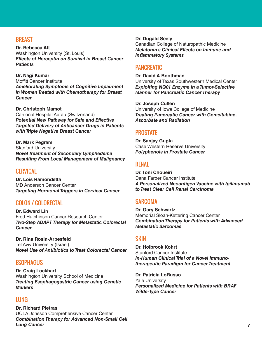## **BREAST**

**Dr. Rebecca Aft** Washington University (St. Louis) *Effects of Herceptin on Survival in Breast Cancer Patients*

**Dr. Nagi Kumar** Moffitt Cancer Institute *Ameliorating Symptoms of Cognitive Impairment in Women Treated with Chemotherapy for Breast Cancer*

#### **Dr. Christoph Mamot**

Cantonal Hospital Aarau (Switzerland) *Potential New Pathway for Safe and Effective Targeted Delivery of Anticancer Drugs in Patients with Triple Negative Breast Cancer*

**Dr. Mark Pegram** Stanford University *Novel Treatment of Secondary Lymphedema Resulting From Local Management of Malignancy*

#### **CERVICAL**

**Dr. Lois Ramondetta** MD Anderson Cancer Center *Targeting Hormonal Triggers in Cervical Cancer*

#### COLON / COLORECTAL

**Dr. Edward Lin** Fred Hutchinson Cancer Research Center *Two-Step ADAPT Therapy for Metastatic Colorectal Cancer*

**Dr. Rina Rosin-Arbesfeld** Tel Aviv University (Israel) *Novel Use of Antibiotics to Treat Colorectal Cancer*

#### **ESOPHAGUS**

**Dr. Craig Lockhart** Washington University School of Medicine *Treating Esophagogastric Cancer using Genetic Markers*

### LUNG

**Dr. Richard Pietras** UCLA Jonsson Comprehensive Cancer Center *Combination Therapy for Advanced Non-Small Cell Lung Cancer*

#### **Dr. Dugald Seely**

Canadian College of Naturopathic Medicine *Melatonin's Clinical Effects on Immune and*  **Inflammatory Systems** 

### PANCREATIC

#### **Dr. David A Boothman**

University of Texas Southwestern Medical Center *Exploiting NQ01 Enzyme in a Tumor-Selective Manner for Pancreatic Cancer Therapy*

**Dr. Joseph Cullen** University of Iowa College of Medicine *Treating Pancreatic Cancer with Gemcitabine, Ascorbate and Radiation*

#### **PROSTATE**

**Dr. Sanjay Gupta** Case Western Reserve University *Polyphenols in Prostate Cancer*

#### **RENAL**

**Dr. Toni Choueiri** Dana Farber Cancer Institute *A Personalized Neoantigen Vaccine with Ipilimumab to Treat Clear Cell Renal Carcinoma* 

#### **SARCOMA**

**Dr. Gary Schwartz** Memorial Sloan-Kettering Cancer Center *Combination Therapy for Patients with Advanced Metastatic Sarcomas*

### **SKIN**

**Dr. Holbrook Kohrt** Stanford Cancer Institute *In-Human Clinical Trial of a Novel Immunotherapeutic Paradigm for Cancer Treatment*

**Dr. Patricia LoRusso** Yale University *Personalized Medicine for Patients with BRAF Wilde-Type Cancer*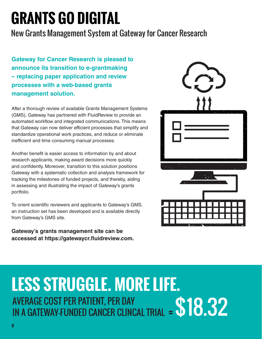## **GRANTS GO DIGITAL**

## New Grants Management System at Gateway for Cancer Research

**Gateway for Cancer Research is pleased to announce its transition to e-grantmaking – replacing paper application and review processes with a web-based grants management solution.**

After a thorough review of available Grants Management Systems (GMS), Gateway has partnered with FluidReview to provide an automated workflow and integrated communications. This means that Gateway can now deliver efficient processes that simplify and standardize operational work practices, and reduce or eliminate inefficient and time consuming manual processes.

Another benefit is easier access to information by and about research applicants, making award decisions more quickly and confidently. Moreover, transition to this solution positions Gateway with a systematic collection and analysis framework for tracking the milestones of funded projects, and thereby, aiding in assessing and illustrating the impact of Gateway's grants portfolio.

To orient scientific reviewers and applicants to Gateway's GMS, an instruction set has been developed and is available directly from Gateway's GMS site.

**Gateway's grants management site can be accessed at https://gatewaycr.fl uidreview.com.**



## **LESS STRUGGLE. MORE LIFE.** AVERAGE COST PER PATIENT, PER DAY IN A GATEWAY-FUNDED CANCER CLINCAL TRIAL j =\$18.32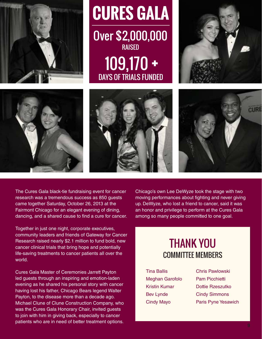







**RAISED** 

DAYS OF TRIALS FUNDED

109,170 +



The Cures Gala black-tie fundraising event for cancer research was a tremendous success as 850 guests came together Saturday, October 26, 2013 at the Fairmont Chicago for an elegant evening of dining, dancing, and a shared cause to find a cure for cancer.

Together in just one night, corporate executives, community leaders and friends of Gateway for Cancer Research raised nearly \$2.1 million to fund bold, new cancer clinical trials that bring hope and potentially life-saving treatments to cancer patients all over the world.

Cures Gala Master of Ceremonies Jarrett Payton led guests through an inspiring and emotion-laden evening as he shared his personal story with cancer having lost his father, Chicago Bears legend Walter Payton, to the disease more than a decade ago. Michael Clune of Clune Construction Company, who was the Cures Gala Honorary Chair, invited guests to join with him in giving back, especially to cancer patients who are in need of better treatment options.

Chicago's own Lee DeWyze took the stage with two moving performances about fighting and never giving up. DeWyze, who lost a friend to cancer, said it was an honor and privilege to perform at the Cures Gala among so many people committed to one goal.

## THANK YOU COMMITTEE MEMBERS

- Tina Ballis Meghan Garofolo Kristin Kumar Bev Lynde Cindy Mayo
- Chris Pawlowski Pam Picchietti Dottie Rzeszutko Cindy Simmons Paris Pyne Yesawich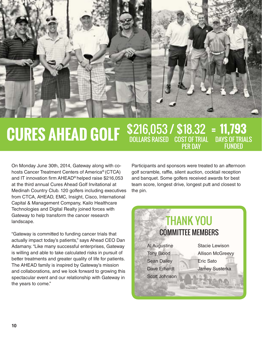

#### **CURES AHEAD GOLF** \$216,053 / \$18.32 DAYS OF TRIALS FUNDED **11,793** COST OF TRIAL PER DAY DOLLARS RAISED =

On Monday June 30th, 2014, Gateway along with cohosts Cancer Treatment Centers of America® (CTCA) and IT innovation firm AHEAD® helped raise \$216,053 at the third annual Cures Ahead Golf Invitational at Medinah Country Club. 120 golfers including executives from CTCA, AHEAD, EMC, Insight, Cisco, International Capital & Management Company, Kailo Healthcare Technologies and Digital Realty joined forces with Gateway to help transform the cancer research landscape.

"Gateway is committed to funding cancer trials that actually impact today's patients," says Ahead CEO Dan Adamany. "Like many successful enterprises, Gateway is willing and able to take calculated risks in pursuit of better treatments and greater quality of life for patients. The AHEAD family is inspired by Gateway's mission and collaborations, and we look forward to growing this spectacular event and our relationship with Gateway in the years to come."

Participants and sponsors were treated to an afternoon golf scramble, raffle, silent auction, cocktail reception and banquet. Some golfers received awards for best team score, longest drive, longest putt and closest to the pin.

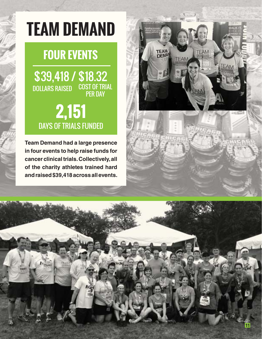# **TEAM DEMAND**

## **FOUR EVENTS**

\$39,418 / \$18.32 DOLLARS RAISED COST OF TRIAL PER DAY

## DAYS OF TRIALS FUNDED **2,151**

**Team Demand had a large presence in four events to help raise funds for cancer clinical trials. Collectively, all of the charity athletes trained hard and raised \$39,418 across all events.** 



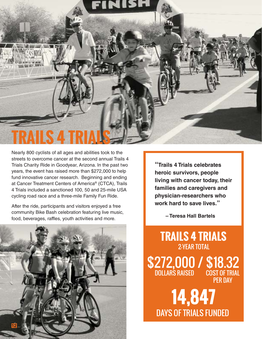

Nearly 800 cyclists of all ages and abilities took to the streets to overcome cancer at the second annual Trails 4 Trials Charity Ride in Goodyear, Arizona. In the past two years, the event has raised more than \$272,000 to help fund innovative cancer research. Beginning and ending at Cancer Treatment Centers of America® (CTCA), Trails 4 Trials included a sanctioned 100, 50 and 25-mile USA cycling road race and a three-mile Family Fun Ride.

After the ride, participants and visitors enjoyed a free community Bike Bash celebration featuring live music, food, beverages, raffles, youth activities and more.



**"Trails 4 Trials celebrates heroic survivors, people living with cancer today, their families and caregivers and physician-researchers who work hard to save lives."** 

 **– Teresa Hall Bartels**

\$272,000 / \$18.32 DOLLARS RAISED COST OF TRIAL PER DAY **TRAILS 4 TRIALS** 2-YEAR TOTAL

DAYS OF TRIALS FUNDED **14,847**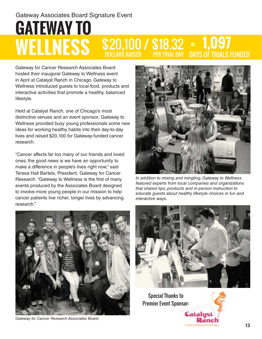### **GATEWAY TO WELLNESS \$20,100 / \$18.3**<br>2001 DOLLARS RAISED PER TRIAL DOLLARS RAISED DAYS OF TRIALS FUNDED **1,097** = PER TRIAL DAY Gateway Associates Board Signature Event

Gateway for Cancer Research Associates Board hosted their inaugural Gateway to Wellness event in April at Catalyst Ranch in Chicago. Gateway to Wellness introduced guests to local food, products and interactive activities that promote a healthy, balanced lifestyle.

Held at Catalyst Ranch, one of Chicago's most distinctive venues and an event sponsor, Gateway to Wellness provided busy young professionals some new ideas for working healthy habits into their day-to-day lives and raised \$20,100 for Gateway-funded cancer research.

"Cancer affects far too many of our friends and loved ones; the good news is we have an opportunity to make a difference in people's lives right now," said Teresa Hall Bartels, President, Gateway for Cancer Research. "Gateway to Wellness is the first of many events produced by the Associates Board designed to involve more young people in our mission to help cancer patients live richer, longer lives by advancing research."



*Gateway for Cancer Research Associates Board.*



*In addition to mixing and mingling, Gateway to Wellness featured experts from local companies and organizations that shared tips, products and in-person instruction to educate guests about healthy lifestyle choices in fun and interactive ways.*



Special Thanks to Premier Event Sponsor:

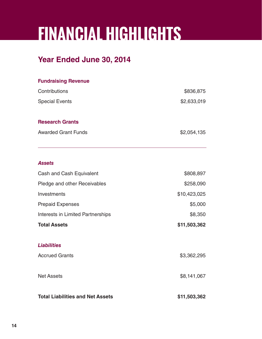# **FINANCIAL HIGHLIGHTS**

## **Year Ended June 30, 2014**

| <b>Fundraising Revenue</b>               |                          |
|------------------------------------------|--------------------------|
| Contributions<br><b>Special Events</b>   | \$836,875<br>\$2,633,019 |
|                                          |                          |
| <b>Awarded Grant Funds</b>               | \$2,054,135              |
|                                          |                          |
| <b>Assets</b>                            |                          |
| Cash and Cash Equivalent                 | \$808,897                |
| Pledge and other Receivables             | \$258,090                |
| Investments                              | \$10,423,025             |
| <b>Prepaid Expenses</b>                  | \$5,000                  |
| <b>Interests in Limited Partnerships</b> | \$8,350                  |
| <b>Total Assets</b>                      | \$11,503,362             |
| <b>Liabilities</b>                       |                          |
| <b>Accrued Grants</b>                    | \$3,362,295              |
| <b>Net Assets</b>                        | \$8,141,067              |
| <b>Total Liabilities and Net Assets</b>  | \$11,503,362             |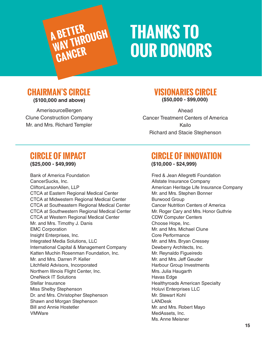

## **THANKS TO OUR DONORS**

## **CHAIRMAN'S CIRCLE (\$100,000 and above)**

AmerisourceBergen Clune Construction Company Mr. and Mrs. Richard Templer

## **VISIONARIES CIRCLE (\$50,000 - \$99,000)**

Ahead Cancer Treatment Centers of America Kailo Richard and Stacie Stephenson

## **CIRCLE OF IMPACT (\$25,000 - \$49,999)**

Bank of America Foundation CancerSucks, Inc. CliftonLarsonAllen, LLP CTCA at Eastern Regional Medical Center CTCA at Midwestern Regional Medical Center CTCA at Southeastern Regional Medical Center CTCA at Southwestern Regional Medical Center CTCA at Western Regional Medical Center Mr. and Mrs. Timothy J. Danis EMC Corporation Insight Enterprises, Inc. Integrated Media Solutions, LLC International Capital & Management Company Katten Muchin Rosenman Foundation, Inc. Mr. and Mrs. Darren P. Keller Litchfield Advisors, Incorporated Northern Illinois Flight Center, Inc. OneNeck IT Solutions Stellar Insurance Miss Shelby Stephenson Dr. and Mrs. Christopher Stephenson Shawn and Morgan Stephenson Bill and Annie Hostetler VMWare

## **CIRCLE OF INNOVATION (\$10,000 - \$24,999)**

Fred & Jean Allegretti Foundation Allstate Insurance Company American Heritage Life Insurance Company Mr. and Mrs. Stephen Bonner Burwood Group Cancer Nutrition Centers of America Mr. Roger Cary and Mrs. Honor Guthrie CDW Computer Centers Choose Hope, Inc. Mr. and Mrs. Michael Clune Core Performance Mr. and Mrs. Bryan Cressey Dewberry Architects, Inc. Mr. Reynaldo Figueiredo Mr. and Mrs. Jeff Geuder Harbour Group Investments Mrs. Julia Haugarth Havas Edge Healthyroads American Specialty Holuvi Enterprises LLC Mr. Stewart Kohl LANDesk Mr. and Mrs. Robert Mayo MedAssets, Inc. Ms. Anne Meisner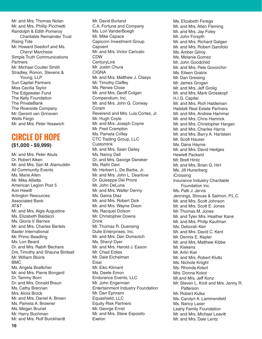Mr. and Mrs. Thomas Nolan Mr. and Mrs. Phillip Picchietti Randolph & Edith Pomeroy Charitable Remainder Trust Rising Tide Mr. Howard Seedorf and Ms. Cheryl Marchese Simple Truth Communications Partners Mr. Michael Coulter Smith Stradley, Ronon, Stevens & Young, LLP Sun Capital Partners Miss Cecilia Taylor The Edgewater Fund The Kelly Foundation The PrivateBank The Riverside Company Mr. Gerard van Grinsven Wells Fargo Mr. and Mrs. Peter Yesawich

## **CIRCLE OF HOPE (\$1,000 - \$9,999)**

Mr. and Mrs. Peter Abuls Dr. Robert Aiken Mr. and Mrs. Sari M. Alamuddin All Community Events Ms. Marie Allen Mr. Mike Allietta American Legion Post 5 Aon Hewitt Arlington Resources Associated Bank AT&T Mr. and Mrs. Algis Augustine Ms. Elizabeth Baldacci Ms. Gloria V. Barnes Mr. and Mrs. Charles Bartels Baxter International Mr. Primo Beadling Ms. Lori Beard Dr. and Mrs. Rabih Bechara Drs. Timothy and Shauna Birdsall Mr. William Bloink BMC Ms. Angela Boettcher Mr. and Mrs. Pierre Bongard Dr. Tammy Born Dr. and Mrs. Donald Braun Ms. Cathy Brennan Mrs. Alora Brock Mr. and Mrs. Daniel A. Brown Ms. Pamela A. Browner Ms. Megan Brunet Mr. Harry Buchman Mr. and Mrs. Rolf Burckhardt

Mr. David Burland C.A. Fortune and Company Ms. Lori VanderBoegh Mr. Mike Capace Capicorn Investment Group **Capvent** Mr. and Mrs. Victor Caricato CDW **CenturyLink** Mr. Justin Chura CIGNA Mr. and Mrs. Matthew J. Claeys Mr. Timothy Claffey Ms. Renee Close Mr. and Mrs. Geoff Colgan Compendium, Inc. Mr. and Mrs. John G. Conway Coram Reverend and Mrs. Luis Cortes, Jr. Mr. Hugh Coyle Mr. and Mrs. Joseph Coyne Mr. Fred Crampton Ms. Pamela Crilley CTC Trading Group, LLC **CustomInk** Mr. and Mrs. Sean Dailey Ms. Nancy Dall Dr. and Mrs. George Daneker Ms. Rathi Davi Mr. Herbert L. De Barba, Jr. Mr. and Mrs. John L. Dearlove Dr. Guiseppe Del Priore Mr. John DeLuna Mr. and Mrs. Walter Denny Ms. Gema Diaz Mr. and Mrs. Robert Dick Mr. and Mrs. Wayne Dixon Ms. Racquel Dolson Mr. Christopher Downs Drink Mr. Thomas R. Duensing Dulle Enterprises, Inc. Mr. and Mrs. Dan Dumezich Ms. Sheryl Dyer Mr. and Mrs. Harold J. Eason Mr. Chad Eckes Mr. Dale Eichelman Eisai Mr. Eiko Klimant Ms. Deete Emon Endurance Events, LLC Mr. John Engerman Entertainment Industry Foundation Mr. Dan Ephraim Equashield, LLC Equity Risk Partners Mr. George Ernst Mr. and Mrs. Steve Esposito Exelon

Ms. Elizabeth Ferega Mr. and Mrs. Allen Fleming Mr. and Mrs. Jay Foley Mr. John Forsyth Mr. and Mrs. Richard Galgan Mr. and Mrs. Robert Garofolo Ms. Amber Gilroy Ms. Melanie Gomez Mr. John Goodchild Mr. and Mrs. Pete Govorchin Ms. Eileen Gratrix Mr. Dan Greising Mr. James Grogan Mr. and Mrs. Jeff Grolig Mr. and Mrs. Mark Grosskopf H.I.G. Capital Mr. and Mrs. Rich Haldeman Halstatt Real Estate Partners Mr. and Mrs. Andrew Hammar Mr. and Mrs. Chris Hamrick Mr. and Mrs. Christopher Hargan Mr. and Mrs. Charles Harris Mr. and Mrs. Barry A. Hartstein Mr. Scott Hauser Ms. Dana Haynie Mr. and Mrs. David Hedges Hewlett Packard Mr. Brett Hintz Mr. and Mrs. Brian G. Hirt Ms. Jill Hunerberg iCrossing Insurance Industry Charitable Foundation Inc. Ms. Patti J. Jarvis Jennings, Strouss & Salmon, P.L.C. Mr. and Mrs. Scott Johnson Mr. and Mrs. Scott E. Jones Mr. Thomas M. Jones Mr. and Tyler Mrs. Heather Kane Mr. and Mrs. Philip Kaufman Ms. Deborah Keir Mr. and Mrs. David C. Kent Mr. Dennis E. Kepler Mr. and Mrs. Matthew Kibbe Mr. Kiekens Mr. Arlin Kiel Mr. and Mrs. Robert Kluttz Ms. Nichole Knight Ms. Rhonda Kokot Mrs. Donna Kokot Mr.and Mrs. Jeff Konz Mr. Steven L. Kroll and Mrs. Jenny R. **Patterson** Mr. Robert Kulka Ms. Carolyn A. Lammersfeld Ms. Nancy Laser Leahy Family Foundation Mr. and Mrs. Michael Leavitt Mr. and Mrs. Dale Lentz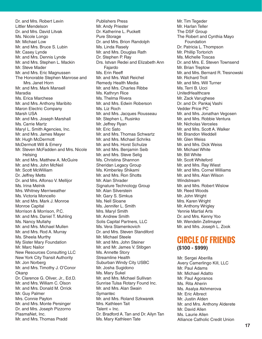Dr. and Mrs. Robert Levin Littler Mendelson Dr. and Mrs. David Litvak Ms. Nicole Longo Mr. Michael Low Mr. and Mrs. Bruce S. Lubin Mr. Casey Lynde Mr. and Mrs. Dennis Lynde Mr. and Mrs. Stephen L. Mackin Mr. Steve Mader Mr. and Mrs. Eric Magnussen The Honorable Stephen Manrose and Mrs. Janet Horn Mr. and Mrs. Mark Mansell Maradia Ms. Erica Marchese Mr. and Mrs. Anthony Maribito Maron Electric Company Marsh USA Mr. and Mrs. Joseph Marshall Ms. Carrie Martz Maryl L. Smith Agencies, Inc. Mr. and Mrs. James Mayer Mr. Hugh McDermott McDermott Will & Emery Mr. Steven McFadden and Mrs. Nicole **Helsing** Mr. and Mrs. Matthew A. McGuire Mr. and Mrs. John McNeil Mr. Scott McWilliam Dr. Jeffrey Metts Dr. and Mrs. Alfonso V. Mellijor Ms. Irina Melnik Mrs. Whitney Merriweather Ms. Victoria Moncello Mr. and Mrs. Mark J. Monroe Monroe Capital Morrison & Morrison, P.C. Mr. and Mrs. Daniel T. Muhling Ms. Nancy Mullahy Mr. and Mrs. Michael Mullen Mr. and Mrs. Rod A. Murray Ms. Sheela Murthy My Sister Mary Foundation Mr. Marc Nailor New Resources Consulting LLC New York City Transit Authority Mr. Jon Norberg Mr. and Mrs. Timothy J. O'Conor **Okanp** Dr. Clarence G. Oliver, Jr., Ed.D. Mr. and Mrs. William C. Olson Mr. and Mrs. Donald M. Orrick Mr. Guy Palmer Mrs. Connie Payton Mr. and Mrs. Monte Persinger Dr. and Mrs. Joseph Pizzorno PlasmaNet, Inc. Mr. and Mrs. Thomas Pradd

Publishers Press Mr. Andy Priester Dr. Katherine L. Puckett Pure Storage Dr. and Mrs. Brion Randolph Ms. Linda Rasely Mr. and Mrs. Douglas Rath Dr. Stephen P. Ray Drs. Istvan Redei and Elizabeth Ann Fajardo Ms. Erin Reeff Mr. and Mrs. Walt Reichel Remedy Health Media Mr. and Mrs. Charles Ribbe Ms. Kathryn Rice Ms. Thelma Rivera Mr. and Mrs. Edwin Roberson Ms. Liz Roch Mr. and Mrs. Jacques Rousseau Mr. Stephen L. Rusinko Mr. Jeffrey Ryan Mr. Eric Sato Mr. and Mrs. Thomas Schwartz Mr. and Mrs. Michael Schriks Mr. and Mrs. Horst Schulze Mr. and Mrs. Benjamin Seib Mr. and Mrs. Steve Selig Ms. Christina Shannon Sheridan Legacy Group Ms. Kimberley Shikami Mr. and Mrs. Ron Shotts Mr. Alan Shrader Signature Technology Group Mr. Alan Silverstein Mr. Gary S. Simkus Ms. Nell Sloane Ms. Jennifer L. Smith Mrs. Maryl Smith Mr. Andrew Smith Solis Capital Partners, LLC Ms. Vera Stamenkovich Dr. and Mrs. Steven Standiford Mr. Michael Steele Mr. and Mrs. John Steiner Mr. and Mr. James V. Stibgen Ms. Annette Story Streamline Health Suburban Windy City USBC Mr. Josha Sugidono Ms. Mary Sukel Mr. and Mrs. Michael Sullivan Sunrise Tulsa Rotary Found Inc. Mr. and Mrs. Alan Swain **Symantec** Mr. and Mrs. Roland Szkwarek Mrs. Kathleen Tait  $Talent + Inc.$ Dr. Bradford A. Tan and Dr. Ailyn Tan Ms. Mary Kathleen Tate

Mr. Tim Tegeder Mr. Harlan Teller The DSF Group The Robert and Cynthia Mayo Foundation Dr. Patricia L. Thompson Mr. Phillip Tortorich Ms. Michelle Toscas Dr. and Mrs. E. Steven Townsend Mr. Brian Treptow Mr. and Mrs. Bernard R. Tresnowski Mr. Richard Troll Mr. and Mrs. Will Turner Ms. Terri B. Ucci UnitedHealthcare Mr. Zack Varughese Dr. and Dr. Pankaj Vashi Vedder Price PC Mr. and Mrs. Jonathan Vegosen Mr. and Mrs. Robbie Ventura Mr. Nicholas Verceles Mr. and Mrs. Scott A. Walker Mr. Brandon Weddell Mr. Glen Weiss Mr. and Mrs. Dick Weiss Mr. Michael White Mr. Bill White Mr. Scott Whiteford Mr. and Mrs. Ray Wiest Mr. and Mrs. Cornel Williams Mr. and Mrs. Alan Wilson Windstream Mr. and Mrs. Robert Wislow Mr. Reed Woods Mr. John Wright Mrs. Karen Wright Mr. Anthony Wrigley Yennie Martial Arts Dr. and Mrs. Kenny Yoo Mr. Wendelin Zellmayer Mr. and Mrs. Joseph L. Zook

## **CIRCLE OF FRIENDS (\$100 - \$999)**

Mr. Sergei Aberilla Avery Camerlingo Kill, LLC Mr. Paul Adams Mr. Michael Adatto Mr. Paul Agoranos Ms. Rita Aherin Ms. Asalya Akhmerova Mr. Eric Albrect Mr. Justin Alden Mr. and Mrs. Anthony Alderete Mr. David Allen Ms. Laurie Allen Alliance Catholic Credit Union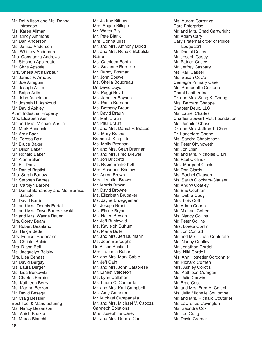Mr. Del Allison and Ms. Donna Introcaso Ms. Karen Allman Ms. Cindy Ammons Mr. Dan Anderson Ms. Janice Anderson Ms. Whitney Anderson Mrs. Constanza Andrews Mr. Stephen Applegate Mr. Chris Apsotle Mrs. Sheila Archambault Mr. James F. Arnoux Mr. Joe Arreguin Mr. Joseph Artim Mr. Ralph Artim Mr. John Ashelman Mr. Jospeh H. Ashkouti Mr. David Ashley Atrim Industrial Property Mrs. Elizabeth Aur Mr. and Mrs. Michael Austin Mr. Mark Babcock Mr. Amir Badr Ms. Teresa Bain Mr. Bruce Baker Mr. Dillon Baker Mr. Ronald Baker Mr. Alan Balkin Mr. Bill Danz Mr. Daniel Baptist Mrs. Sarah Barlow Mr. Stephen Barnes Ms. Carolyn Barone Mr. Daniel Barrandey and Ms. Bernice Salcido Mr. David Barrie Mr. and Mrs. Dennis Bartelt Mr. and Mrs. Dave Bartoszewski Mr. and Mrs. Wayne Bauer Mrs. Corey Beam Mr. Robert Beanland Ms. Helga Bedell Mrs. Eunice. Beermann Ms. Christel Beldin Mrs. Diana Bell Ms. Jacquelyn Belsky Mrs. Lisa Benassi Mr. David Bergay Ms. Laura Berger Ms. Lisa Berkowitz Mr. Charles Bernier Ms. Kathleen Berry Ms. Martha Berzon Mr. David Besegai Mr. Craig Bessler Best Tool & Manufacturing Ms. Nancy Bezanson Ms. Anish Bhakta Mr. Marco Bianchi

Mr. Jeffrey Bilbrey Mrs. Angee Billups Mr. Walter Bily Mr. Pete Blank Mrs. Donna Bliss Mr. and Mrs. Anthony Blood Mr. and Mrs. Ronald Bobulski Boiron Ms. Cathleen Booth Ms. Suzanne Borriello Mr. Randy Bosman Mr. John Boswell Ms. Sheila Boudreau Dr. David Boyd Ms. Peggi Boyd Ms. Jennifer Boysen Ms. Paula Brandon Ms. Bethany Braun Mr. David Braun Mr. Matt Braun Mr. Paul Braun Mr. and Mrs. Daniel F. Brazas Ms. Mary Brazas Brenda J. King, Ltd. Ms. Molly Brennan Mr. and Mrs. Sean Brennan Mr. and Mrs. Fred Brewer Mr. Jon Briccetti Ms. Robin Brinkerhoff Mrs. Shannon Bristow Mr. Aaron Brown Mrs. Jennifer Brown Mr. Morris Brown Mr. David Browne Ms. Elizabeth Brubaker Ms. Jayne Brueggeman Mr. Joseph Bruni Ms. Elaine Bryan Ms. Helen Bryson Mr. Jeff Buchwald Ms. Kayleigh Buffum Ms. Maria Buller Mr. and Mrs. Jeff Bulmahn Ms. Jean Burroughs Dr. Alison Busfield Mrs. Lucretia Butler Mr. and Mrs. Mark Cable Mr. Jeff Cain Mr. and Mrs. John Calabrese Mr. Ernest Calderon Ms. Lynn Callahan Ms. Laura C. Camarda Mr. and Mrs. Karl Campbell Ms. Amy Cameron Mr. Michael Campanella Mr. and Mrs. Michael V. Capozzi Caretech Solutions Mrs. Josephine Carey Mr. and Mrs. Dennis Carr

Ms. Aurora Carranza Cars Enterprise Mr. and Mrs. Chad Cartwright Mr. Adam Cary Cary Fraternal order of Police Lodge 231 Mr. Daniel Casey Mr. Joseph Casey Mr. Patrick Casey Mr. Jeffrey Caspary Ms. Kari Cassel Ms. Susan CeCe Centegra Primary Care Ms. Bernedette Cestone Chabi Leather Inc. Dr. and Mrs. Sung K. Chang Mrs. Barbara Chappell Chapter Deux, LLC Ms. Laurel Charles Charles Stewart Mott Foundation Ms. Jennifer Chess Dr. and Mrs. Jeffrey T. Choh Dr. Lanceford Chong Ms. Sandra Christensen Mr. Peter Chynoweth Mr. Jon Ciani Mr. and Mrs. Nicholas Ciani Mr. Paul Cielinski Mrs. Margaret Ciesla Mr. Don Clardy Ms. Rachel Clauson Ms. Sarah Clockars-Clauser Mr. Andrw Coatley Mr. Eric Cochran Ms. Debra Cody Mrs. Lois Coff Mr. Adam Cohen Mr. Michael Cohen Ms. Nancy Collins Mr. Peter Collins Mrs. Loreta Conlin Mr. Jon Conrad Mr. and Mrs. Dean Conterato Ms. Nancy Coolley Mr. Jonathon Cordell Mrs. Niki Cordell Ms. Ann Hostetler Cordonnier Mr. Richard Corhen Mrs. Ashley Corotis Ms. Kathleen Corrigan Ms. Julie Corwin Mr. Brad Cost Mr. and Mrs. Fred A. Cottini Ms. Julia Michelle Coulombe Mr. and Mrs. Richard Couturier Mr. Lawrence Covington Ms. Saundra Cox Mr. Joe Craig Mr. David Cramer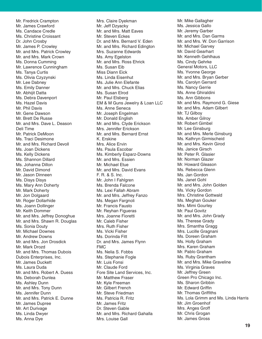Mr. Fredrick Crampton Mr. James Crawford Ms. Candace Credle Ms. Christine Croissant Dr. John Crosby Mr. James P. Crowley Mr. and Mrs. Patrick Crowley Mr. and Mrs. Mark Crown Ms. Donna Cumming Mr. Lawrence Cunningham Ms. Tanya Curtis Ms. Olivia Czyzynski Mr. Lee Dabney Ms. Emily Danner Mr. Abhijit Datta Ms. Debra Davenport Ms. Hazel Davis Mr. Phil Davis Mr. Gene Dawson Mr. Brett De Russe Mr. and Mrs. Dave L. Deason Deli Time Mr. Patrick DeMoon Ms. Traci Desimone Mr. and Mrs. Richard Devoll Ms. Joan Dickens Ms. Kelly Dickens Ms. Shannon Dillard Ms. Johanna Dillon Mr. David Dimond Mr. Jason Dinneen Ms. Disys Disys Ms. Mary Ann Doherty Mr. Mark Doherty Mr. Jon Dolgaard Mr. Roger Dollarhide Ms. Joann Dollinger Mr. Keith Dommer Mr. and Mrs. Jeffrey Donoghue Mr. and Mrs. Shawn R. Douglas Ms. Sonia Douty Mr. Michael Downes Mr. Andrew Downs Mr. and Mrs. Jon Drosdick Mr. Mark Drozd Mr. and Mrs. Thomas Dubois Dubois Enterprises, Inc. Mr. James Duckett Ms. Laura Duda Mr. and Mrs. Robert A. Duess Ms. Deborah Dunlea Ms. Ashley Dunn Mr. and Mrs. Tony Dunn Ms. Jennifer Dunn Mr. and Mrs. Patrick E. Dunne Mr. James Dupree Mr. Art Durivage Ms. Linda Dwyer Ms. Anna Dye

Mrs. Claire Dyekman Mr. Jeff Dzyacky Mr. and Mrs. Matt Eaves Mr. Steven Eckes Dr. and Mrs. Bernard V. Eden Mr. and Mrs. Richard Edington Mrs. Suzanne Edwards Ms. Amy Egelston Mr. and Mrs. Ross Ehrick Ms. Susan Eib Miss Diann Eick Ms. Linda Eisenhut Ms. Julie Ann Elefante Mr. and Mrs. Chuck Elias Ms. Susan Elrod Mr. Paul Elsberg EM & M Guns Jewelry & Loan LLC Ms. Anne Seneca Mr. Joseph Engelman Mr. Donald English Mr. and Mrs. Clyde Erickson Mrs. Jennifer Erickson Mr. and Mrs. Bernard Ernst K. Erskine Mrs. Alice Ervin Ms. Paula Escobar Ms. Kimberly Esparz-Downs Mr. and Mrs. Essien Mr. Michael Etue Mr. and Mrs. David Evans F. R. & S. Inc. Mr. John I Fahlgren Ms. Brenda Falcone Ms. Lexi Fallah Abram Mr. and Mrs. Jeffrey Fanzo Ms. Megan Fargnoli Mr. Francis Fausto Mr. Reyhan Figueras Mrs. Joanne Fioretti Mr. Caleb Fisher Mrs. Ruth Fisher Ms. Vicki Fisher Ms. Dorinda Fitt Dr. and Mrs. James Flynn FMC Ms. Nelia S. Fobbs Ms. Stephanie Fogle Mr. Luis Fonsi Mr. Claude Ford Fore Site Land Services, Inc. Mr. Matthew Fraser Mr. Kyle Freeman Mr. Gilbert French Mr. Steve Friedman Ms. Patricia R. Fritz Mr. James Fritz Dr. Steven Gable Mr. and Mrs. Richard Gahalla Mrs. Louise Gall

Mr. Mike Gallagher Ms. Jessica Gallo Mr. Jeremy Garber Mr. and Mrs. Dan Garms Mr. and Mrs. W. Don Garrison Mr. Michael Garvey Mr. David Gearhart Mr. Kenneth Gehlhaus Ms. Cindy Gehrke General Motors, LLC Ms. Yvonne George Mr. and Mrs. Bryan Gerber Ms. Carolyn Gerrard Ms. Nancy Gerrie Ms. Anne Ghiraldini Ms. Ann Gibbons Mr. and Mrs. Raymond G. Giese Mr. and Mrs. Adam Gilbert Mr. TJ Gilboy Ms. Amber Gilroy Mr. Robert Gimbel Mr. Lee Ginsburg Mr. and Mrs. Merle Ginsburg Ms. Kathryn Girmischeid Mr. and Mrs. Kevin Girod Ms. Janice Girsch Mr. Peter R. Glasier Mr. Norman Glazer Mr. Howard Gleason Ms. Rebecca Glenn Ms. Jan Gordon Ms. Janet Gohl Mr. and Mrs. John Golden Ms. Vicky Gordon Mrs. Christine Gottwald Ms. Meghan Gouker Mrs. Mimi Gourley Mr. Paul Govitz Mr. and Mrs. John Grady Ms. Therese Grady Mrs. Smantha Gragg Mrs. Lucille Gragnani Ms. Doreen Graham Ms. Holly Graham Mrs. Karen Graham Mr. Pablo Graham Ms. Ruby Grantham Mr. and Mrs. Mike Graveline Ms. Virginia Graves Mr. Jeffrey Green Green Pro Chicago Inc. Ms. Sharon Gribbin Mr. Edward Griffin Mr. Thomas Griffiths Ms. Lola Grimm and Ms. Linda Harris Mr. Jim Groenhof Mrs. Anges Groff Mr. Chris Grogan Mr. James Gross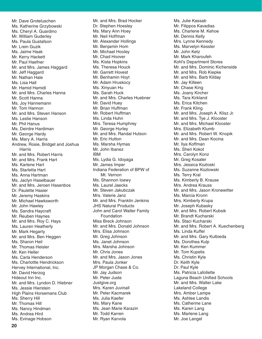Mr. Dave Groteluschen Ms. Katherine Grzybowski Ms. Cheryl A. Guardino Mr. William Guderley Ms. Paula Gustafson Mr. Lrein Guzik Ms. Jaime Haak Mr. Kerry Hackett Mr. Paul Haefner Mr. and Mrs. James Haggard Mr. Jeff Haggard Mr. Nathan Hale Ms. Lisa Hall Mr. Hamid Hamidi Mr. and Mrs. Charles Hanna Mr. Scott Hanna Ms. Joy Hannemann Mr. Tom Hannon Mr. and Mrs. Steven Hanson Ms. Leslie Hanson Mr. Phil Hanus Ms. Deirdre Hardiman Mr. George Hardy Ms. Mary A. Harris Andrew, Rosie, Bridget and Joshua Harris Mr. and Mrs. Robert Harris Mr. and Mrs. Frank Hart Ms. Karlene Hart Ms. Starletta Hart Ms. Anna Hartman Ms. Jaclyn Haselbauer Mr. and Mrs. Jeroen Hasenbos Dr. Paulette Hasier Mr. Jeremy Haskins Mr. Michael Hawksworth Mr. John Hawley Ms. Sandra Haycraft Mr. Reuben Haynes Mr. and Mrs. Roy C. Hays Ms. Lauren Heatherly Mr. Mark Hegarty Mr. and Mrs. Ben Heggen Ms. Sharon Heil Mr. Thomas Heisler Mr. Ken Heller Ms. Carla Henderson Ms. Charlottle Hendrickson Hervey International, Inc. Mr. David Herzog Hideout Inn Inc. Mr. and Mrs. Lyndon D. Hiebner Ms. Jessie Hierstein High Plains Horsemans Club Ms. Sherry Hill Mr. Thomas Hill Ms. Nancy Hindman Ms. Andrea Hird Ms. Evinage Hobson

Mr. and Mrs. Brad Hocker Dr. Stephen Hoesley Ms. Mary Ann Hoey Mr. Neil Hoffman Mr. Alexander Hollings Mr. Benjamin Hom Mr. Michael Hooley Mr. Chad Hoover Ms. Kista Hopkins Ms. Theresa Houck Mr. Garrett Hovest Mr. Benhamin Hoyt Mr. Adam Hruskocy Ms. Xinyuan Hu Ms. Sarah Huck Mr. and Mrs. Charles Huebner Mr. David Huey Mr. Brian Huffman Mr. Robert Huffman Ms. Linda Huhn Mrs. Teresa Humphrey Mr. George Hurley Mr. and Mrs. Randal Hutson Mr. Eric Hutton Ms. Marsha Hymas Mr. John Ibanez IBM Ms. Lydia G. Idoyaga Mr. James Imper Indiana Federation of BPW of Mt. Vernon Ms. Shannon Ioewy Ms. Laurel Jaecks Mr. Steven Jakubczak Mrs. Valerie Janz Mr. and Mrs. Franklin Jenkins JHS Natural Products John and Carol Walter Family Foundation Miss Breck Johnson Mr. and Mrs. Donald Johnson Mrs. Elisa Johnson Mr. Greg Johnson Ms. Janet Johnson Mrs. Marsha Johnson Mr. Chris Jones Mr. and Mrs. Jason Jones Mrs. Paula Jonker JP Morgan Chase & Co. Mr. Jay Judson Mr. Peter Juste Justgive.org Mrs. Karen Juvinall Mr. Peter Kacmarek Ms. Julia Kaefer Ms. Mary Kane Ms. Jean Marie Karazin Mr. Todd Karren Mr. Ryan Karvola

Ms. Julie Kassab Mr. Filippos Kavadias Ms. Charlene M. Kehoe Mr. Dennis Kelly Mrs. Lynne Kennedy Ms. Marvelyn Kessler Mr. John Ketz Mr. Mark Kharoufeh Kohl's Department Stores Mr. and Mrs. Dominic Kichenside Mr. and Mrs. Rob Kiepke Mr. and Mrs. Barb Kilday Mr. Jay Killeen Mr. Chase King Ms. Joany Kircher Ms. Tara Kirkland Ms. Erica Kitchen Mr. Frank Kling Mr. and Mrs. Joseph A. Klisz Jr. Mr. and Mrs. Tye J. Klooster Mr. and Mrs. Michael Klooster Mrs. Elizabeth Klumb Mr. and Mrs. Robert W. Knopik Mr. and Mrs. Dean Kocina Mr. Ilya Koffman Ms. Sheri Kokot Mrs. Carolyn Konz Mr. Greg Kosater Mrs. Jessica Kozloski Ms. Suzanne Kozlowski Ms. Terry Kral Ms. Kimberly B. Krause Mrs. Andrea Krauss Mr. and Mrs. Jason Kronewitter Ms. Marcia Kronn Mrs. Kimberly Krupa Mr. Joseph Kubasky Mr. and Mrs. Robert Kubsik Mr. Brandt Kucharski Ms. Staci Kucharski Mr. and Mrs. Robert A. Kuechenberg Ms. Linda Kuffel Mr. and Mrs. Gary Kulbieda Ms. Dorothea Kulp Mr. Ken Kummer Mr. Tom Kupetis Ms. Christin Kyle Dr. Keith Kyle Dr. Paul Kyle Ms. Patricia Lafollette Laguna Beach Unified Schools Mr. and Mrs. Walter Lake Lakeland College Mrs. Amber Lampe Ms. Ashlee Landis Ms. Catherine Lane Ms. Karen Lang Ms. Marlene Lang Mr. Joe Langel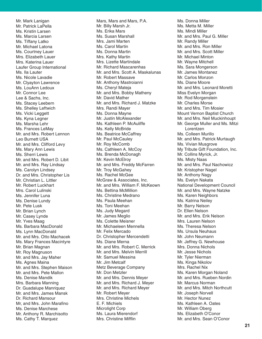Mr. Mark Lanigan Mr. Patrick LaPella Ms. Kristin Larsen Ms. Marcia Larsen Ms. Tiffany Latko Mr. Michael Latona Ms. Courtney Lauer Mrs. Elizabeth Lauer Mrs. Katerina Lauer Laufer Group International Ms. Ila Lauter Ms. Nicole Lavadie Mr. Clyayton Lawrence Ms. LouAnn Ledoux Mr. Connor Lee Lee & Sachs, Inc. Ms. Stacey Leebern Ms. Shelley Leftwich Ms. Vicki Leggett Ms. Kyna Legner Ms. Marsha Lehr Ms. Frances LeMay Mr. and Mrs. Robert Lennon Leo Burnett USA Mr. and Mrs. Clifford Levy Ms. Mary Ann Lewis Ms. Sherri Lewis Mr. and Mrs. Robert D. Libit Mr. and Mrs. Ray Lindsay Ms. Carolyn Lindsey Dr. and Mrs. Christopher Lis Mr. Christian L. Littler Mr. Robert Luckhart Mrs. Carol Lulinski Ms. Jennifer Luna Ms. Denise Lundy Mr. Pete Lusk Mr. Brian Lynch Mr. Casey Lynde Mr. Yves Maag Ms. Barbara MacDonald Ms. Lynn MacDonald Mr. and Mrs. Otto Machacek Ms. Mary Frances Macintyre Mr. Brian Magnan Mr. Roy Magnuson Mr. and Mrs. Jay Maher Ms. Agnes Maina Mr. and Mrs. Stephen Maison Mr. and Mrs. Pete Mallon Ms. Denise Mandik Mrs. Barbara Manning Dr. Guadalupe Manriquez Mr. and Mrs. James Mansk Dr. Richard Mansour Mr. and Mrs. John Marafino Ms. Denise Marchese Mr. Anthony R. Marchisotto Ms. Cathy T. Marquez

Mars, Mars and Mars, P.A. Mr. Billy Marsh Jr. Ms. Erika Mars Ms. Susan Marshall Mrs. Jami Marten Ms. Carol Martin Ms. Donna Martin Mrs. Kathy Martin Mrs. Lizette Martindale Mr. Richard Mascarenhas Mr. and Mrs. Scott A. Maskalunas Mr. Robert Massave Mr. Anthony Mastroianni Ms. Cheryl Mateja Mr. and Mrs. Bobby Matheny Mr. David Mather Mr. and Mrs. Richard J. Matzke Mrs. Randi Mayer Ms. Donna Mayne Mr. Justin McAlexander Ms. Kathleen P. McAuliffe Ms. Kelly McBride Ms. Beatrice McCaffrey Mr. Paul McCauley Mr. Roy McComb Ms. Cathleen A. McCoy Ms. Brenda McDonagh Mr. Kevin McElroy Mr. and Mrs. Freddy McFarren Mr. Troy McGahey Ms. Rachel McGee McGraw & Associates, Inc. Mr. and Mrs. William F. McKeown Ms. Bettina McMillion Ms. Christine Medrano Ms. Paula Meehan Ms. Toni Meehan Ms. Judy Megard Mr. James Meglio Ms. Colette Meisner Mr. Michaeleen Mennella Mr. Felix Mercado Dr. Christopher Mercendetti Ms. Diane Merna Mr. and Mrs. Robert C. Merrick Mr. and Mrs. Melvin Merrill Mr. Samuel Messina Mr. Jim Metcalf Metz Beverage Company Mr. Don Metzler Mr. and Mrs. Dennis Meyer Mr. and Mrs. Richard J. Meyer Mr. and Mrs. Richard Meyer Mr. Robert Meyer Mrs. Christine Michels E. F. Michiels Microlight Corp Ms. Laura Mierendorf Mrs. Christine Mifflin

Ms. Donna Miller Ms. Metta M. Miller Ms. Mindi Miller Mr. and Mrs. Paul G. Miller Mr. Randy Miller Mr. and Mrs. Ron Miller Mr. and Mrs. Scott Miller Mr. Michael Minton Mr. Wayne Mitchell Ms. Sara Mongerson Mr. James Montanez Mr. Carlos Monzon Ms. Diane Moore Mr. and Mrs. Leonard Moretti Miss Evelyn Morgan Mr. Rod Morgenstein Mr. Charles Morse Mr. and Mrs. Tim Mosier Mount Vernon Baptist Church Mr. and Mrs. Neil Muckinhoupt Mr. George Muller and Ms. Mitzi Lorentzen Ms. Colleen Murillo Mr. and Mrs. Patrick Murtaugh Ms. Vivian Musgrove My Tribute Gift Foundation, Inc. Mr. Collins Myrick, Jr. Ms. Misty Naas Mr. and Mrs. Paul Nachowicz Mr. Kristopher Nagel Mr. Anthony Nagy Ms. Evelyn Nakata National Development Council Mr. and Mrs. Wayne Natzke Ms. Karen Neighbors Ms. Katrina Neiley Mr. Barry Nelson Dr. Ellen Nelson Mr. and Mrs. Erik Nelson Mrs. Lauren Nelson Ms. Theresa Nelson Ms. Ursula Neuhaus Mr. John Neumann Mr. Jeffrey G. Newhouse Mrs. Donna Nichols Mr. Jesse Nichols Mr. Tyler Nierman Ms. Kinga Nikolov Mrs. Rachel Nix Ms. Karen Morgan Noland Mr. and Mrs. Rueben Nordin Mr. Marcus Norman Mr. and Mrs. Mitch Northcutt Mr. Joseph Norvell Mr. Hector Nunez Ms. Kathleen A. Oates Mr. William Oberg Ms. Elizabeth O'Conor Mr. and Mrs. Sean O'Conor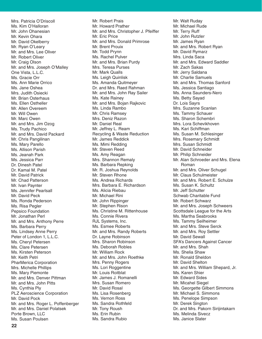Mrs. Patricia O'Driscoll Ms. Kim O'Halloran Mr. John Ohanesian Mr. Kevin Ohara Mr. David Okelberry Mr. Ryan O'Leary Mr. and Mrs. Lee Oliver Mr. Robert Oliver Mr. Craig Olson Mr. and Mrs. Joseph O'Malley One Vista, L.L.C. Ms. Gracie Orr Ms. Ann Marie Orrico Ms. Jane Oshea Mrs. Judith Osiecki Mr. Brian Osterhaus Ms. Ellen Ostheller Mr. Allen Overeem Mr. Will Owen Mr. Marc Owen Mr. and Mrs. Jim Ozog Ms. Trudy Pachico Mr. and Mrs. David Packard Mr. Chris Pangilinan Ms. Mary Parello Ms. Allison Parish Ms. Jeanah Park Ms. Jessica Parr Dr. Dinesh Patel Dr. Kamal M. Patel Mr. David Patrick Mr. Chad Patterson Mr. Ivan Paynter Ms. Jennifer Pearlsall Mr. David Peck Ms. Ronda Pederson Ms. Risa Pegler Pepsico Foundation Mr. Jonathan Perl Mr. and Mrs. Anthony Perre Ms. Barbara Perry Ms. Lindsey Anne Perry Peter of London 1, L.L.C. Ms. Cheryl Petersen Ms. Clare Petersen Ms. Kirsten Peterson Mr. Keith Petri PharMerica Corporation Mrs. Michelle Phillips Ms. Mary Piemonte Mr. and Mrs. Denver Pittman Mr. and Mrs. John Pitts Ms. Cynthia Ply PLZ Aeroscience Corporation Mr. David Pock Mr. and Mrs. Roger L. Poffenberger Mr. and Mrs. Daniel Polatsek Porte Brown, LLC Ms. Susan Poulsen

Mr. Robert Prais Mr. Howard Prather Mr. and Mrs. Christopher J. Pfeiffer Mr. Eric Price Mr. and Mrs. Donald Primrose Mr. Brent Prouix Mr. Todd Prynn Ms. Rachel Pulver Mr. and Mrs. Brian Purdy Mrs. Teresa Purses Mr. Mark Qualls Ms. Leigh Quinlisk Ms. Amanda Quitmeyer Dr. and Mrs. Raed Rahman Mr. and Mrs. John Ray Sailer Ms. Kate Rainey Mr. and Mrs. Bojan Rajkovic Ms. Linda Rambo Mr. Chris Ramsey Mrs. Deniz Razon Mr. Daniel Real Mr. Jeffrey L. Ream Recycling & Waste Reduction Mr. James Reddick Ms. Mimi Redding Mr. Steven Reed Ms. Amy Reagan Mrs. Shannon Remaly Ms. Barbara Repking Mr. R. Joshua Reynolds Mr. Steven Rhone Ms. Andrea Richards Mrs. Barbara E. Richardson Ms. Alicia Riebau Mr. Michael Rini Mr. John Rippinger Mr. Stephen Rison Ms. Christine M. Rittenhouse Ms. Connie Rivera RJL Systems, Inc. Ms. Esmee Roberts Mr. and Mrs. Randy Roberts Dr. Layne Robinson Mrs. Sharon Robinson Ms. Deborah Robles Mr. William Rock Mr. and Mrs. John Roethke Mrs. Penny Rogers Ms. Lori Roggentine Mr. Louis Roitblat Mr. James J. Romanelli Mrs. Susan Romero Mr. David Rosal Ms. Lisa Rosenberg Ms. Vernon Ross Ms. Sandra Rothfeld Mr. Tony Roush Ms. Erin Rubin Ms. Sandra Rubio

Mr. Walt Ruday Mr. Michael Rude Mr. Terry Ruff Mr. John Rutzler Mr. James Ryan Mr. and Mrs. Robert Ryan Mr. David Rymarz Mrs. Linda Saca Mr. and Mrs. Edward Saddler Mr. Zach Sakas Mr. Jerry Saldana Mr. Charlie Samuels Mr. and Mrs. Thomas Sanford Ms. Jessica Santiago Ms. Anna Saunders-Nero Ms. Betty Sayad Dr. Lois Sayrs Mrs. Suzanne Scanlan Ms. Tammy Schauer Ms. Sharon Schembri Mrs. Lora Schevikhoven Ms. Kari Schiffman Ms. Susan M. Schlesinger Mrs. Rosemary Schmidt Mrs. Susan Schmidt Mr. David Schneider Mr. Philip Schneider Mr. Alan Schroeder and Mrs. Elena Roman Mr. and Mrs. Oliver Schugel Mr. Claus Schulmeister Mr. and Mrs. Robert E. Schulze Ms. Susan K. Schultz Mr. Jeff Schutter Schwab Charitable Fund Mr. Robert Schwarz Mr. and Mrs. Joseph Schweers Scottsdale League for the Arts Ms. Martha Seabrooks Ms. Tammy Seilheimer Mr. and Mrs. Steve Serck Mr. and Mrs. Roy Settler Mr. David Sewall SFA's Dancers Against Cancer Mr. and Mrs. Shah Ms. Shelia Shaw Mr. Ronald Sheldon Mr. David Shelton Mr. and Mrs. William Shepard, Jr. Ms. Karen Shier Mr. Edward Sides Mr. Micahel Siegel Ms. Georgette Gilbert Simmons Mr. Michael S. Simmons Ms. Penelope Simpson Mr. Derek Sington Dr. and Mrs. Pakorn Sirijintakarn Ms. Melinda Sivecz Ms. Janice Slater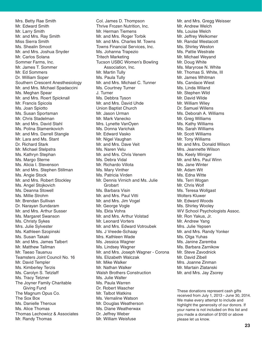Mrs. Betty Rae Smith Mr. Edward Smith Mr. Larry Smith Mr. and Mrs. Ray Smith Miss Sierra Smith Ms. Shealin Smoot Mr. and Mrs. Joshua Snyder Mr. Carlos Solana Sommer Farms, Inc. Mr. James T. Sommer Mr. Ed Sommers Dr. William Soper Southern Crescent Anesthesiology Mr. and Mrs. Michael Spadaccini Ms. Meghan Spear Mr. and Mrs. Roert Spicknall Mr. Francis Spicola Ms. Joan Spiotto Ms. Susan Sportsman Mr. Chris Stadelman Mr. and Mrs. David Stahl Ms. Polina Stamenkovich Mr. and Mrs. Darrell Stangle Mr. Lara and Ms. Stant Dr. Richard Stark Mr. Michael Stelpstra Ms. Kathryn Stephan Ms. Margo Sterne Ms. Alicia I. Stevenson Mr. and Mrs. Stephen Stillman Ms. Angie Stock Mr. and Mrs. Robert Stockley Ms. Angel Stojkovich Ms. Deanna Stowell Ms. Millie Strohm Mr. Brendan Sullivan Dr. Narayan Sundaram Mr. and Mrs. Arthur Susser Ms. Margaret Swanson Ms. Christy Sykes Mrs. Julie Sylvester Ms. Kathleen Szopinski Ms. Susan Takaki Mr. and Mrs. James Talbert Mr. Matthew Tallman Mr. Taeao Tauanuu Teamsters Joint Council No. 16 Mr. David Templer Ms. Kimberley Terzis Ms. Carolyn S. Tetzlaff Ms. Tracy Tetzner The Joyner Family Charitable Giving Fund The Magnum Opus Co. The Sox Box Ms. Danielle Theroux Ms. Alice Thomas Thomas Lechowicz & Associates Mr. Randy Thomas

Col. James D. Thompson Thrive Frozen Nutrition, Inc. Mr. Herman Tiemens Mr. and Mrs. Roger Torbik Mr. and Mrs. Charles M. Towns Towns Financial Services, Inc. Ms. Johanna Trapezio Tritech Marketing Tucson USBC Women's Bowling Association, Inc. Mr. Martin Tully Ms. Paula Tully Mr. and Mrs. Michael C. Tunner Ms. Courtney Turner J. Turner Ms. Debbra Tyson Mr. and Mrs. David Uhde Union Baptist Church Mr. Jason Urman Mr. Mark Vanecko Mrs. Lynette VanOyen Ms. Donna Varichak Mr. Edward Vasko Mr. Nigel Vaughan Mr. and Mrs. Dave Veit Ms. Naren Velu Mr. and Mrs. Chris Venem Ms. Debra Vidal Mr. Richardo Villota Ms. Mary Vinther Ms. Patricia Virden Mr. Dennis Virnich and Ms. Julie **Grobart** Ms. Barbara Visin Mr. and Mrs. Paul Vitti Mr. and Mrs. Jim Vogel Mr. George Vogle Ms. Ekta Vohra Mr. and Mrs. Arthur Volstad Mr. Leonard Vorters Mr. and Mrs. Edward Votroubek Ms. J Vreede-Schaay Mrs. Kathleen Wade Ms. Jessica Wagner Ms. Lindsey Wagner Mr. and Mrs. Joseph Wagner - Corona Ms. Elizabeth Walczak Mr. Mike Walker Mr. Nathan Walker Walsh Brothers Construction Ms. Julie Walter Ms. Paula Warren Dr. Robert Wascher Mr. Talbot Watkins Ms. Vernaline Watson Mr. Douglas Weatherson Ms. Diane Weatherwax Dr. Jeffrey Weber Mr. William Weisfuse

Mr. and Mrs. Gregg Weisser Mr. Andrew Welch Ms. Louise Welch Mr. Jeffrey Welkomer Mr. Randal Westacott Ms. Shirley Weston Ms. Pattie Westrate Mr. Michael Weyand Mr. Doug White Ms. Maryrose N. White Mr. Thomas S. White, III Mr. James Whitman Ms. Candace Wiest Ms. Linda Wiland Mr. Stephen Wild Mr. David Wilde Mr. William Wiley Dr. Samuel Willens Ms. Deborah A. Williams Mr. Greg Williams Ms. Kathy Williams Ms. Sarah Williams Mr. Scott Williams Mr. Tony Williams Mr. and Mrs. Donald Wilson Mrs. Jeannette Wilson Ms. Keely Winiger Mr. and Mrs. Paul Winn Ms. Jane Winter Mr. Adam Wit Ms. Edna Witte Ms. Terri Wogan Mr. Chris Wolf Ms. Teresa Wollgast Wolters Kluwer Mr. Edward Woods Ms. Shirley Wooley WV School Psychologists Assoc. Mr. Ron Yakus, Jr. Mr. Andrew Yang Mrs. Julie Yepsen Mr. and Mrs. Randy Yonker Ms. Olga Yuhas Ms. Janine Zaremba Ms. Barbara Zarnikow Mr. Steve Zavodnick Mr. David Zibell Mrs. Joanne Zinman Mr. Martain Zlatanski Mr. and Mrs. Jay Zsorey

These donations represent cash gifts received from July 1, 2013 - June 30, 2014. We make every attempt to include and highlight the generosity of our donors. If your name is not included on this list and you made a donation of \$100 or above please let us know.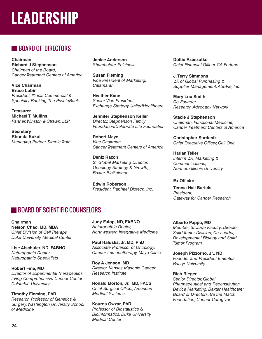## **LEADERSHIP**

## **BOARD OF DIRECTORS**

**Chairman Richard J Stephenson** *Chairman of the Board, Cancer Treatment Centers of America*

**Vice Chairman Bruce Lubin** *President, Illinois Commercial & Specialty Banking, The PrivateBank*

**Treasurer Michael T. Mullins** *Partner, Winston & Strawn, LLP*

**Secretary Rhonda Kokot** *Managing Partner, Simple Truth* **Janice Anderson** *Shareholder, Polsinelli*

**Susan Fleming** *Vice President of Marketing, Catamaran*

**Heather Kane** *Senior Vice President, Exchange Strategy, UnitedHealthcare*

**Jennifer Stephenson Keller** *Director, Stephenson Family Foundation/Celebrate Life Foundation*

**Robert Mayo** *Vice Chairman, Cancer Treatment Centers of America*

**Deniz Razon** *Sr. Global Marketing Director, Oncology Strategy & Growth, Baxter BioScience*

**Edwin Roberson** *President, Raphael Biotech, Inc.* **Dottie Rzeszutko** *Chief Financial Officer, CA Fortune* 

**J. Terry Simmons** *V.P. of Global Purchasing & Supplier Management, AbbVie, Inc.*

**Mary Lou Smith** *Co-Founder, Research Advocacy Network*

**Stacie J Stephenson** *Chairman, Functional Medicine, Cancer Treatment Centers of America*

**Christopher Surdenik** *Chief Executive Officer, Call One*

**Harlan Teller** *Interim V.P., Marketing & Communications, Northern Illinois University*

**Ex-Officio: Teresa Hall Bartels**  *President, Gateway for Cancer Research*

## **BOARD OF SCIENTIFIC COUNSELORS**

**Chairman Nelson Chao, MD, MBA**  *Chief Division of Cell Therapy Duke University Medical Center*

**Lise Alschuler, ND, FABNO** *Naturopathic Doctor Naturopathic Specialists*

**Robert Fine, MD** *Director of Experimental Therapeutics, Irving Comprehensive Cancer Center Columbia University* 

**Timothy Fleming, PhD**  *Research Professor of Genetics & Surgery, Washington University School of Medicine*

**Judy Fulop, ND, FABNO** *Naturopathic Doctor, Northwestern Integrative Medicine*

**Paul Haluska, Jr. MD, PhD** *Associate Professor of Oncology, Cancer Immunotherapy, Mayo Clinic*

**Roy A Jenson, MD**  *Director, Kansas Masonic Cancer Research Institute*

**Ronald Morton, Jr., MD, FACS** *Chief Surgical Officer, American Medical Systems.*

**Kouros Owzar, PhD** *Professor of Biostatistics & Bioinformatics, Duke University Medical Center*

**Alberto Pappo, MD** *Member, St. Jude Faculty; Director, Solid Tumor Division; Co-Leader, Developmental Biology and Solid Tumor Program*

**Joseph Pizzorno, Jr., ND** *Founder and President Emeritus Bastyr University*

#### **Rich Rieger**

*Senior Director, Global Pharmaceutical and Reconstitution Device Marketing, Baxter Healthcare; Board of Directors, Be the Match Foundation; Cancer Caregiver*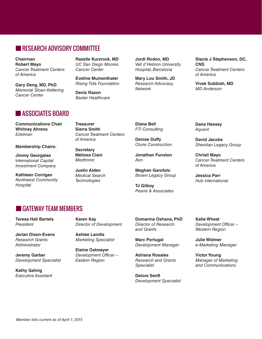## RESEARCH ADVISORY COMMITTEE

**Chairman Robert Mayo** Cancer Treatment Centers of America

**Gary Deng, MD, PhD** Memorial Sloan-Kettering Cancer Center

**Razelle Kurzrock, MD** UC San Diego Moores Cancer Center

**Eveline Mumenthaler** Rising Tide Foundation

**Deniz Razon** Baxter Healthcare **Jordi Rodon, MD** Vall d'Hebron University Hospital, Barcelona

**Mary Lou Smith, JD** Research Advocacy **Network** 

**Stacie J Stephenson, DC, CNS** Cancer Treatment Centers of America

**Vivek Subbiah, MD** MD Anderson

## **ASSOCIATES BOARD**

**Communications Chair Whitney Ahrens**  Edelman

**Membership Chairs:**

**Jimmy Georgalas** International Capital Investment Company

**Kathleen Corrigan** Northwest Community **Hospital** 

**Treasurer Sierra Smith**  Cancer Treatment Centers of America

**Secretary Melissa Ciani** Medtronic

**Justin Alden** Medical Search **Technologies** 

**Diana Bell** FTI Consulting

**Denise Duffy** Clune Construction

**Jonathan Funston** Aon

**Meghan Garofolo** Brown Legacy Group

**TJ Gilboy**  Pearre & Associates **Dana Hassey** Aquent

**David Jacobs** Sheridan Legacy Group

**Christi Mayo**  Cancer Treatment Centers of America

**Jessica Parr** Hub International

## GATEWAY TEAM MEMBERS

**Teresa Hall Bartels**  President

**Jerian Dixon-Evans** Research Grants **Administrator** 

**Jeremy Garber** Development Specialist

**Kathy Gehrig** Executive Assistant

**Karen Kay** Director of Development

**Ashlee Landis**  Marketing Specialist

**Elaine Oatmeyer** Development Officer – Eastern Region

**Domarina Oshana, PhD** Director of Research and Grants

**Marc Portugal**  Development Manager

**Adriana Rosales** Research and Grants Specialist

**Delora Senft**  Development Specialist **Katie Wheat**  Development Officer – Western Region

**Julie Widmer** e-Marketing Manager

**Victor Young**  Manager of Marketing and Communications